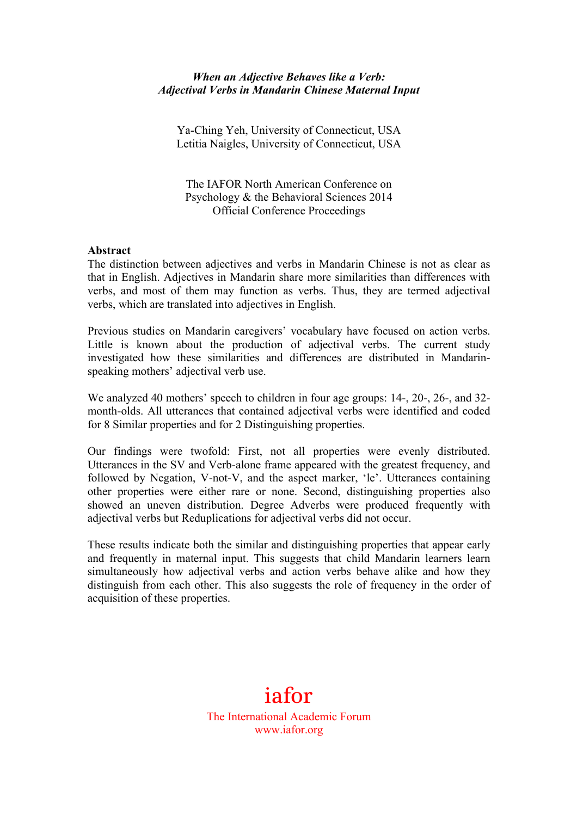#### *When an Adjective Behaves like a Verb: Adjectival Verbs in Mandarin Chinese Maternal Input*

Ya-Ching Yeh, University of Connecticut, USA Letitia Naigles, University of Connecticut, USA

The IAFOR North American Conference on Psychology & the Behavioral Sciences 2014 Official Conference Proceedings

#### **Abstract**

The distinction between adjectives and verbs in Mandarin Chinese is not as clear as that in English. Adjectives in Mandarin share more similarities than differences with verbs, and most of them may function as verbs. Thus, they are termed adjectival verbs, which are translated into adjectives in English.

Previous studies on Mandarin caregivers' vocabulary have focused on action verbs. Little is known about the production of adjectival verbs. The current study investigated how these similarities and differences are distributed in Mandarinspeaking mothers' adjectival verb use.

We analyzed 40 mothers' speech to children in four age groups: 14-, 20-, 26-, and 32 month-olds. All utterances that contained adjectival verbs were identified and coded for 8 Similar properties and for 2 Distinguishing properties.

Our findings were twofold: First, not all properties were evenly distributed. Utterances in the SV and Verb-alone frame appeared with the greatest frequency, and followed by Negation, V-not-V, and the aspect marker, 'le'. Utterances containing other properties were either rare or none. Second, distinguishing properties also showed an uneven distribution. Degree Adverbs were produced frequently with adjectival verbs but Reduplications for adjectival verbs did not occur.

These results indicate both the similar and distinguishing properties that appear early and frequently in maternal input. This suggests that child Mandarin learners learn simultaneously how adjectival verbs and action verbs behave alike and how they distinguish from each other. This also suggests the role of frequency in the order of acquisition of these properties.

# iafor

The International Academic Forum www.iafor.org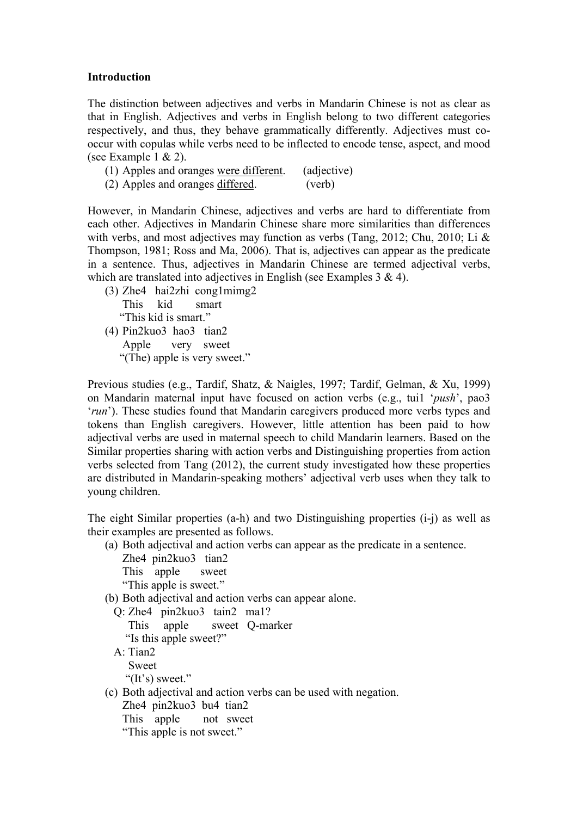#### **Introduction**

The distinction between adjectives and verbs in Mandarin Chinese is not as clear as that in English. Adjectives and verbs in English belong to two different categories respectively, and thus, they behave grammatically differently. Adjectives must cooccur with copulas while verbs need to be inflected to encode tense, aspect, and mood (see Example 1 & 2).

- (1) Apples and oranges were different. (adjective)
- (2) Apples and oranges differed. (verb)

However, in Mandarin Chinese, adjectives and verbs are hard to differentiate from each other. Adjectives in Mandarin Chinese share more similarities than differences with verbs, and most adjectives may function as verbs (Tang, 2012; Chu, 2010; Li & Thompson, 1981; Ross and Ma, 2006). That is, adjectives can appear as the predicate in a sentence. Thus, adjectives in Mandarin Chinese are termed adjectival verbs, which are translated into adjectives in English (see Examples  $3 \& 4$ ).

(3) Zhe4 hai2zhi cong1mimg2 This kid smart "This kid is smart." (4) Pin2kuo3 hao3 tian2

 Apple very sweet "(The) apple is very sweet."

Previous studies (e.g., Tardif, Shatz, & Naigles, 1997; Tardif, Gelman, & Xu, 1999) on Mandarin maternal input have focused on action verbs (e.g., tui1 '*push*', pao3 '*run*'). These studies found that Mandarin caregivers produced more verbs types and tokens than English caregivers. However, little attention has been paid to how adjectival verbs are used in maternal speech to child Mandarin learners. Based on the Similar properties sharing with action verbs and Distinguishing properties from action verbs selected from Tang (2012), the current study investigated how these properties are distributed in Mandarin-speaking mothers' adjectival verb uses when they talk to young children.

The eight Similar properties (a-h) and two Distinguishing properties (i-j) as well as their examples are presented as follows.

(a) Both adjectival and action verbs can appear as the predicate in a sentence.

 Zhe4 pin2kuo3 tian2 This apple sweet "This apple is sweet."

(b) Both adjectival and action verbs can appear alone.

 Q: Zhe4 pin2kuo3 tain2 ma1? This apple sweet Q-marker "Is this apple sweet?" A: Tian2 Sweet "(It's) sweet." (c) Both adjectival and action verbs can be used with negation. Zhe4 pin2kuo3 bu4 tian2 This apple not sweet "This apple is not sweet."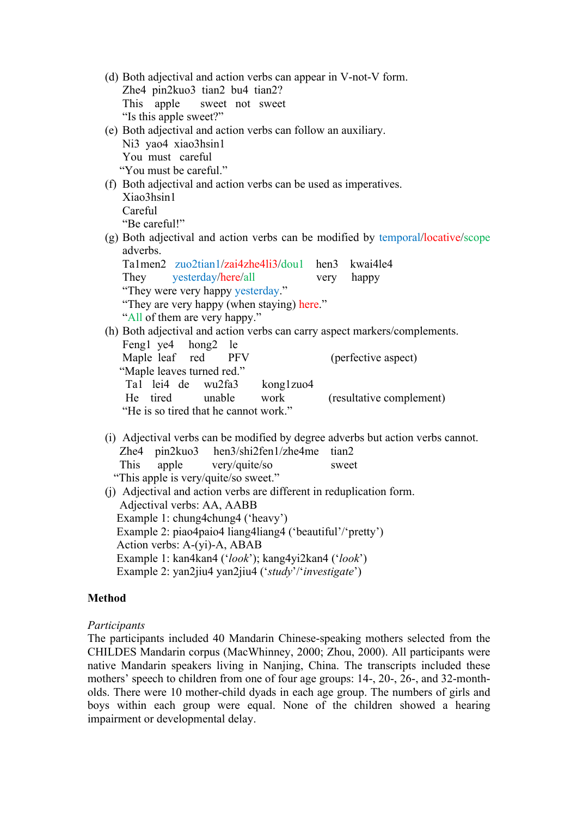- (d) Both adjectival and action verbs can appear in V-not-V form. Zhe4 pin2kuo3 tian2 bu4 tian2? This apple sweet not sweet "Is this apple sweet?"
- (e) Both adjectival and action verbs can follow an auxiliary. Ni3 yao4 xiao3hsin1 You must careful "You must be careful."
- (f) Both adjectival and action verbs can be used as imperatives. Xiao3hsin1 Careful "Be careful!"
- (g) Both adjectival and action verbs can be modified by temporal/locative/scope adverbs.

|                                                                            |  | Ta1men2 zuo2tian1/zai4zhe4li3/dou1 hen3 kwai4le4 |  |           |      |                          |
|----------------------------------------------------------------------------|--|--------------------------------------------------|--|-----------|------|--------------------------|
|                                                                            |  | They yesterday/here/all                          |  |           | very | happy                    |
| "They were very happy yesterday."                                          |  |                                                  |  |           |      |                          |
| "They are very happy (when staying) here."                                 |  |                                                  |  |           |      |                          |
| "All of them are very happy."                                              |  |                                                  |  |           |      |                          |
| (h) Both adjectival and action verbs can carry aspect markers/complements. |  |                                                  |  |           |      |                          |
|                                                                            |  | Fengl ye4 hong2 le                               |  |           |      |                          |
|                                                                            |  | Maple leaf red PFV                               |  |           |      | (perfective aspect)      |
| "Maple leaves turned red."                                                 |  |                                                  |  |           |      |                          |
|                                                                            |  | Tal lei4 de wu2fa3                               |  | kong1zuo4 |      |                          |
|                                                                            |  | He tired unable                                  |  | work      |      | (resultative complement) |
|                                                                            |  | $\mathcal{L}$                                    |  | .         |      |                          |

- He is so tired that he cannot work.<sup>1</sup>
- (i) Adjectival verbs can be modified by degree adverbs but action verbs cannot. Zhe4 pin2kuo3 hen3/shi2fen1/zhe4me tian2 This apple very/quite/so sweet "This apple is very/quite/so sweet."
- (j) Adjectival and action verbs are different in reduplication form. Adjectival verbs: AA, AABB Example 1: chung4chung4 ('heavy') Example 2: piao4paio4 liang4liang4 ('beautiful'/'pretty') Action verbs: A-(yi)-A, ABAB Example 1: kan4kan4 ('*look*'); kang4yi2kan4 ('*look*') Example 2: yan2jiu4 yan2jiu4 ('*study*'/'*investigate*')

# **Method**

## *Participants*

The participants included 40 Mandarin Chinese-speaking mothers selected from the CHILDES Mandarin corpus (MacWhinney, 2000; Zhou, 2000). All participants were native Mandarin speakers living in Nanjing, China. The transcripts included these mothers' speech to children from one of four age groups: 14-, 20-, 26-, and 32-montholds. There were 10 mother-child dyads in each age group. The numbers of girls and boys within each group were equal. None of the children showed a hearing impairment or developmental delay.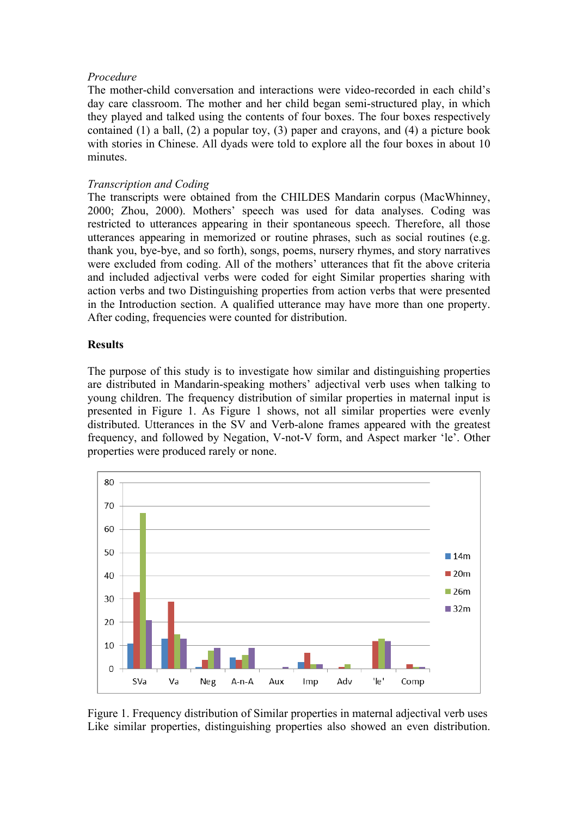#### *Procedure*

The mother-child conversation and interactions were video-recorded in each child's day care classroom. The mother and her child began semi-structured play, in which they played and talked using the contents of four boxes. The four boxes respectively contained (1) a ball, (2) a popular toy, (3) paper and crayons, and (4) a picture book with stories in Chinese. All dyads were told to explore all the four boxes in about 10 minutes.

## *Transcription and Coding*

The transcripts were obtained from the CHILDES Mandarin corpus (MacWhinney, 2000; Zhou, 2000). Mothers' speech was used for data analyses. Coding was restricted to utterances appearing in their spontaneous speech. Therefore, all those utterances appearing in memorized or routine phrases, such as social routines (e.g. thank you, bye-bye, and so forth), songs, poems, nursery rhymes, and story narratives were excluded from coding. All of the mothers' utterances that fit the above criteria and included adjectival verbs were coded for eight Similar properties sharing with action verbs and two Distinguishing properties from action verbs that were presented in the Introduction section. A qualified utterance may have more than one property. After coding, frequencies were counted for distribution.

## **Results**

The purpose of this study is to investigate how similar and distinguishing properties are distributed in Mandarin-speaking mothers' adjectival verb uses when talking to young children. The frequency distribution of similar properties in maternal input is presented in Figure 1. As Figure 1 shows, not all similar properties were evenly distributed. Utterances in the SV and Verb-alone frames appeared with the greatest frequency, and followed by Negation, V-not-V form, and Aspect marker 'le'. Other properties were produced rarely or none.



Figure 1. Frequency distribution of Similar properties in maternal adjectival verb uses Like similar properties, distinguishing properties also showed an even distribution.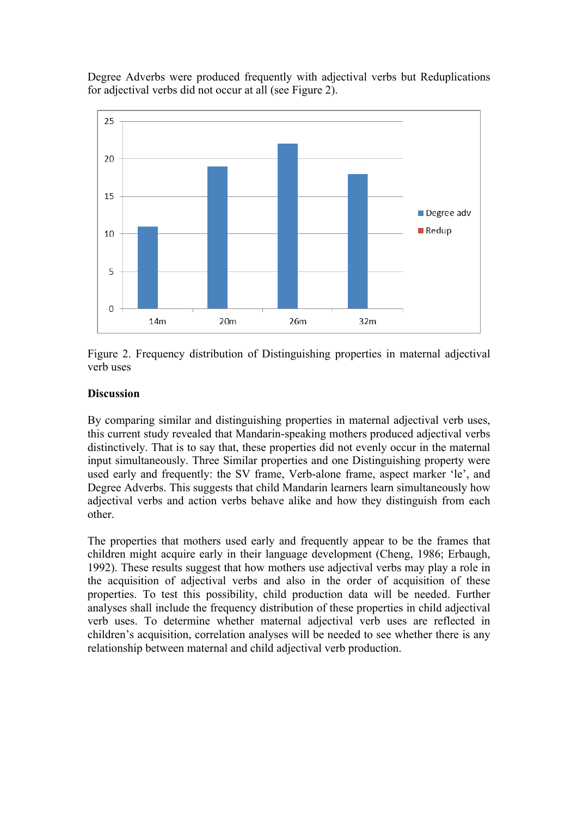Degree Adverbs were produced frequently with adjectival verbs but Reduplications for adjectival verbs did not occur at all (see Figure 2).





#### **Discussion**

By comparing similar and distinguishing properties in maternal adjectival verb uses, this current study revealed that Mandarin-speaking mothers produced adjectival verbs distinctively. That is to say that, these properties did not evenly occur in the maternal input simultaneously. Three Similar properties and one Distinguishing property were used early and frequently: the SV frame, Verb-alone frame, aspect marker 'le', and Degree Adverbs. This suggests that child Mandarin learners learn simultaneously how adjectival verbs and action verbs behave alike and how they distinguish from each other.

The properties that mothers used early and frequently appear to be the frames that children might acquire early in their language development (Cheng, 1986; Erbaugh, 1992). These results suggest that how mothers use adjectival verbs may play a role in the acquisition of adjectival verbs and also in the order of acquisition of these properties. To test this possibility, child production data will be needed. Further analyses shall include the frequency distribution of these properties in child adjectival verb uses. To determine whether maternal adjectival verb uses are reflected in children's acquisition, correlation analyses will be needed to see whether there is any relationship between maternal and child adjectival verb production.